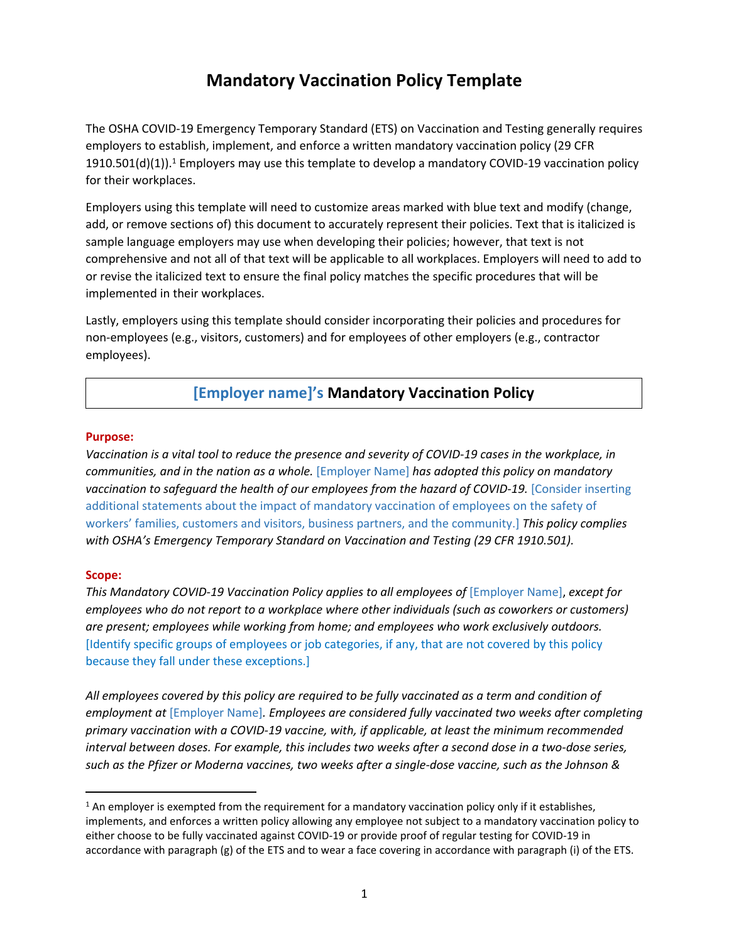# **Mandatory Vaccination Policy Template**

The OSHA COVID-19 Emergency Temporary Standard (ETS) on Vaccination and Testing generally requires employers to establish, implement, and enforce a written mandatory vaccination policy (29 CFR  $1910.501(d)(1)$ ).<sup>1</sup> Employers may use this template to develop a mandatory COVID-19 vaccination policy for their workplaces.

Employers using this template will need to customize areas marked with blue text and modify (change, add, or remove sections of) this document to accurately represent their policies. Text that is italicized is sample language employers may use when developing their policies; however, that text is not comprehensive and not all of that text will be applicable to all workplaces. Employers will need to add to or revise the italicized text to ensure the final policy matches the specific procedures that will be implemented in their workplaces.

Lastly, employers using this template should consider incorporating their policies and procedures for non-employees (e.g., visitors, customers) and for employees of other employers (e.g., contractor employees).

# **[Employer name]'s Mandatory Vaccination Policy**

### **Purpose:**

*Vaccination is a vital tool to reduce the presence and severity of COVID-19 cases in the workplace, in communities, and in the nation as a whole.* [Employer Name] *has adopted this policy on mandatory*  vaccination to safeguard the health of our employees from the hazard of COVID-19. [Consider inserting additional statements about the impact of mandatory vaccination of employees on the safety of workers' families, customers and visitors, business partners, and the community.] *This policy complies with OSHA's Emergency Temporary Standard on Vaccination and Testing (29 CFR 1910.501).*

### **Scope:**

*This Mandatory COVID-19 Vaccination Policy applies to all employees of* [Employer Name], *except for employees who do not report to a workplace where other individuals (such as coworkers or customers) are present; employees while working from home; and employees who work exclusively outdoors.*  [Identify specific groups of employees or job categories, if any, that are not covered by this policy because they fall under these exceptions.]

*All employees covered by this policy are required to be fully vaccinated as a term and condition of employment at* [Employer Name]*. Employees are considered fully vaccinated two weeks after completing primary vaccination with a COVID-19 vaccine, with, if applicable, at least the minimum recommended interval between doses. For example, this includes two weeks after a second dose in a two-dose series, such as the Pfizer or Moderna vaccines, two weeks after a single-dose vaccine, such as the Johnson &* 

<sup>&</sup>lt;sup>1</sup> An employer is exempted from the requirement for a mandatory vaccination policy only if it establishes, implements, and enforces a written policy allowing any employee not subject to a mandatory vaccination policy to either choose to be fully vaccinated against COVID-19 or provide proof of regular testing for COVID-19 in accordance with paragraph (g) of the ETS and to wear a face covering in accordance with paragraph (i) of the ETS.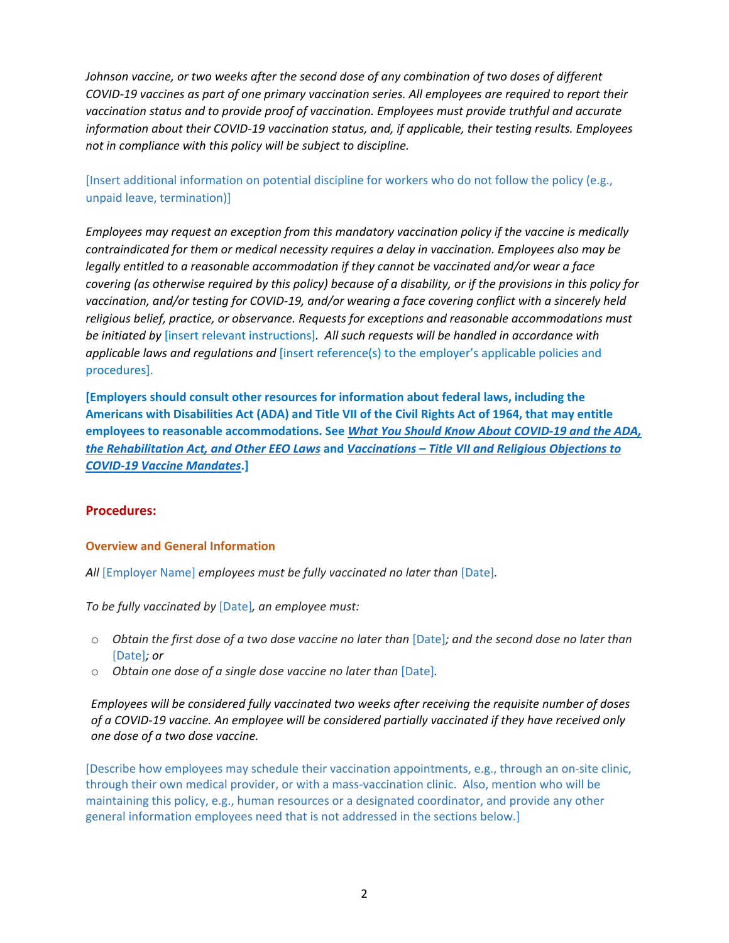*Johnson vaccine, or two weeks after the second dose of any combination of two doses of different COVID-19 vaccines as part of one primary vaccination series. All employees are required to report their vaccination status and to provide proof of vaccination. Employees must provide truthful and accurate information about their COVID-19 vaccination status, and, if applicable, their testing results. Employees not in compliance with this policy will be subject to discipline.* 

[Insert additional information on potential discipline for workers who do not follow the policy (e.g., unpaid leave, termination)]

*Employees may request an exception from this mandatory vaccination policy if the vaccine is medically contraindicated for them or medical necessity requires a delay in vaccination. Employees also may be legally entitled to a reasonable accommodation if they cannot be vaccinated and/or wear a face covering (as otherwise required by this policy) because of a disability, or if the provisions in this policy for vaccination, and/or testing for COVID-19, and/or wearing a face covering conflict with a sincerely held religious belief, practice, or observance. Requests for exceptions and reasonable accommodations must be initiated by* [insert relevant instructions]*. All such requests will be handled in accordance with applicable laws and regulations and* [insert reference(s) to the employer's applicable policies and procedures].

**[Employers should consult other resources for information about federal laws, including the Americans with Disabilities Act (ADA) and Title VII of the Civil Rights Act of 1964, that may entitle employees to reasonable accommodations. See** *[What You Should Know About COVID-19 and the ADA,](https://www.eeoc.gov/wysk/what-you-should-know-about-covid-19-and-ada-rehabilitation-act-and-other-eeo-laws)  [the Rehabilitation Act, and Other EEO Laws](https://www.eeoc.gov/wysk/what-you-should-know-about-covid-19-and-ada-rehabilitation-act-and-other-eeo-laws)* **and** *[Vaccinations – Title VII and Religious Objections to](https://www.eeoc.gov/wysk/what-you-should-know-about-covid-19-and-ada-rehabilitation-act-and-other-eeo-laws#L)  [COVID-19 Vaccine Mandates](https://www.eeoc.gov/wysk/what-you-should-know-about-covid-19-and-ada-rehabilitation-act-and-other-eeo-laws#L)***.]**

### **Procedures:**

### **Overview and General Information**

All [Employer Name] *employees must be fully vaccinated no later than* [Date].

*To be fully vaccinated by* [Date]*, an employee must:*

- o *Obtain the first dose of a two dose vaccine no later than* [Date]*; and the second dose no later than*  [Date]*; or*
- o *Obtain one dose of a single dose vaccine no later than* [Date]*.*

*Employees will be considered fully vaccinated two weeks after receiving the requisite number of doses of a COVID-19 vaccine. An employee will be considered partially vaccinated if they have received only one dose of a two dose vaccine.* 

[Describe how employees may schedule their vaccination appointments, e.g., through an on-site clinic, through their own medical provider, or with a mass-vaccination clinic. Also, mention who will be maintaining this policy, e.g., human resources or a designated coordinator, and provide any other general information employees need that is not addressed in the sections below.]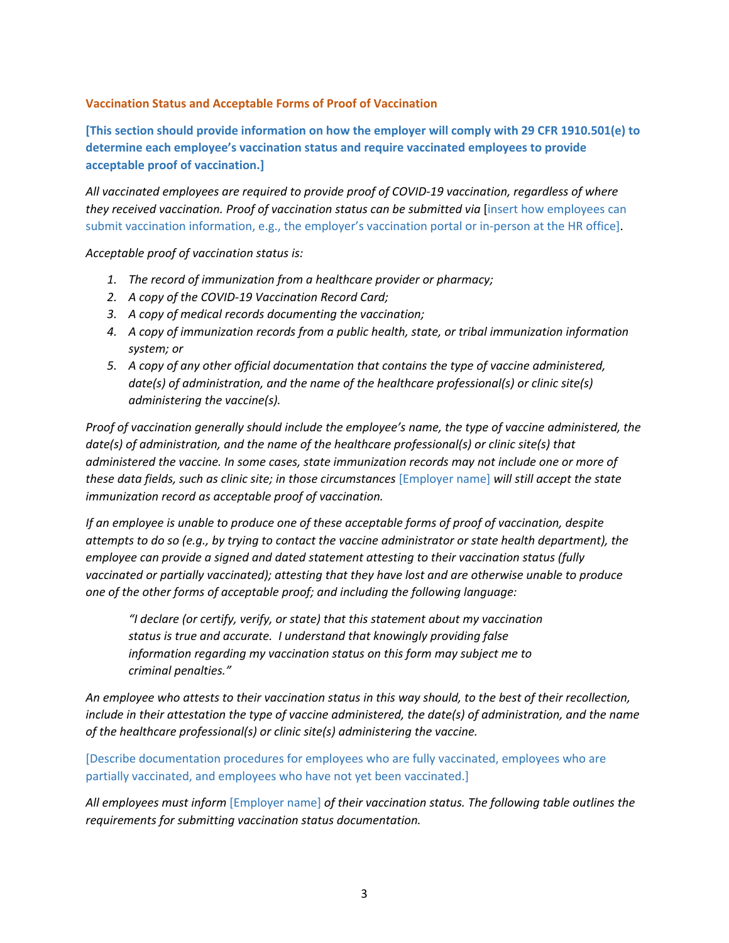## **Vaccination Status and Acceptable Forms of Proof of Vaccination**

**[This section should provide information on how the employer will comply with 29 CFR 1910.501(e) to determine each employee's vaccination status and require vaccinated employees to provide acceptable proof of vaccination.]**

*All vaccinated employees are required to provide proof of COVID-19 vaccination, regardless of where they received vaccination. Proof of vaccination status can be submitted via [insert how employees can* submit vaccination information, e.g., the employer's vaccination portal or in-person at the HR office].

*Acceptable proof of vaccination status is:* 

- *1. The record of immunization from a healthcare provider or pharmacy;*
- *2. A copy of the COVID-19 Vaccination Record Card;*
- *3. A copy of medical records documenting the vaccination;*
- *4. A copy of immunization records from a public health, state, or tribal immunization information system; or*
- *5. A copy of any other official documentation that contains the type of vaccine administered, date(s) of administration, and the name of the healthcare professional(s) or clinic site(s) administering the vaccine(s).*

*Proof of vaccination generally should include the employee's name, the type of vaccine administered, the date(s) of administration, and the name of the healthcare professional(s) or clinic site(s) that administered the vaccine. In some cases, state immunization records may not include one or more of these data fields, such as clinic site; in those circumstances* [Employer name] *will still accept the state immunization record as acceptable proof of vaccination.*

*If an employee is unable to produce one of these acceptable forms of proof of vaccination, despite attempts to do so (e.g., by trying to contact the vaccine administrator or state health department), the employee can provide a signed and dated statement attesting to their vaccination status (fully vaccinated or partially vaccinated); attesting that they have lost and are otherwise unable to produce one of the other forms of acceptable proof; and including the following language:* 

*"I declare (or certify, verify, or state) that this statement about my vaccination status is true and accurate. I understand that knowingly providing false information regarding my vaccination status on this form may subject me to criminal penalties."* 

*An employee who attests to their vaccination status in this way should, to the best of their recollection, include in their attestation the type of vaccine administered, the date(s) of administration, and the name of the healthcare professional(s) or clinic site(s) administering the vaccine.* 

[Describe documentation procedures for employees who are fully vaccinated, employees who are partially vaccinated, and employees who have not yet been vaccinated.]

*All employees must inform* [Employer name] *of their vaccination status. The following table outlines the requirements for submitting vaccination status documentation.*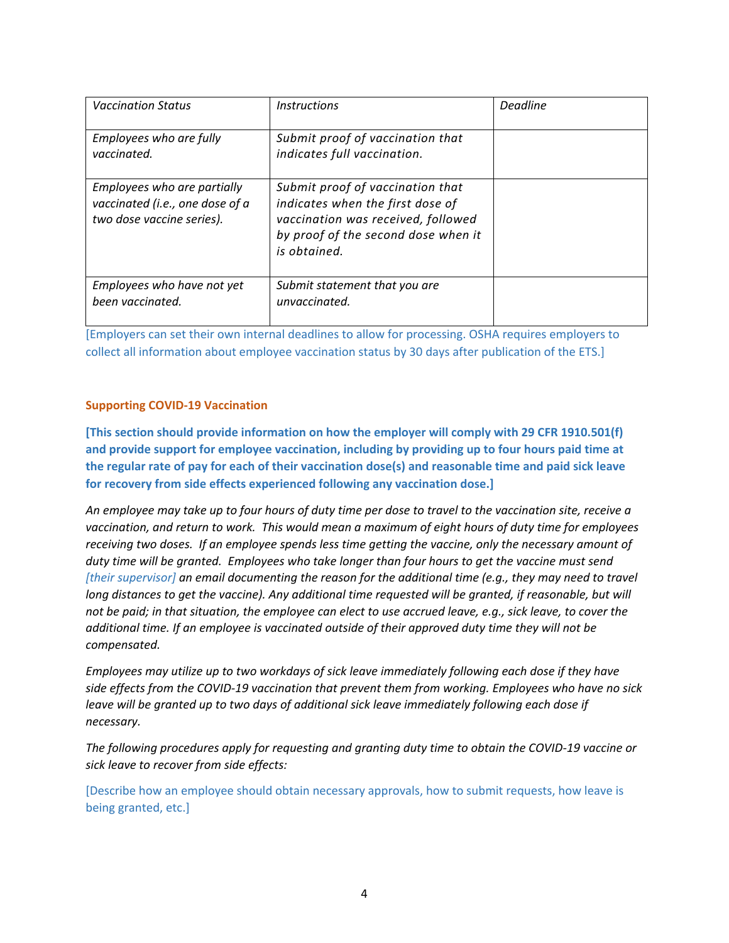| <b>Vaccination Status</b>                                                                   | <i><u><b>Instructions</b></u></i>                                                                                                                                 | Deadline |
|---------------------------------------------------------------------------------------------|-------------------------------------------------------------------------------------------------------------------------------------------------------------------|----------|
| Employees who are fully<br>vaccinated.                                                      | Submit proof of vaccination that<br>indicates full vaccination.                                                                                                   |          |
| Employees who are partially<br>vaccinated (i.e., one dose of a<br>two dose vaccine series). | Submit proof of vaccination that<br>indicates when the first dose of<br>vaccination was received, followed<br>by proof of the second dose when it<br>is obtained. |          |
| Employees who have not yet<br>been vaccinated.                                              | Submit statement that you are<br>unvaccinated.                                                                                                                    |          |

[Employers can set their own internal deadlines to allow for processing. OSHA requires employers to collect all information about employee vaccination status by 30 days after publication of the ETS.]

# **Supporting COVID-19 Vaccination**

**[This section should provide information on how the employer will comply with 29 CFR 1910.501(f) and provide support for employee vaccination, including by providing up to four hours paid time at the regular rate of pay for each of their vaccination dose(s) and reasonable time and paid sick leave for recovery from side effects experienced following any vaccination dose.]**

*An employee may take up to four hours of duty time per dose to travel to the vaccination site, receive a vaccination, and return to work. This would mean a maximum of eight hours of duty time for employees receiving two doses. If an employee spends less time getting the vaccine, only the necessary amount of duty time will be granted. Employees who take longer than four hours to get the vaccine must send [their supervisor] an email documenting the reason for the additional time (e.g., they may need to travel long distances to get the vaccine). Any additional time requested will be granted, if reasonable, but will not be paid; in that situation, the employee can elect to use accrued leave, e.g., sick leave, to cover the additional time. If an employee is vaccinated outside of their approved duty time they will not be compensated.*

*Employees may utilize up to two workdays of sick leave immediately following each dose if they have side effects from the COVID-19 vaccination that prevent them from working. Employees who have no sick leave will be granted up to two days of additional sick leave immediately following each dose if necessary.*

*The following procedures apply for requesting and granting duty time to obtain the COVID-19 vaccine or sick leave to recover from side effects:*

[Describe how an employee should obtain necessary approvals, how to submit requests, how leave is being granted, etc.]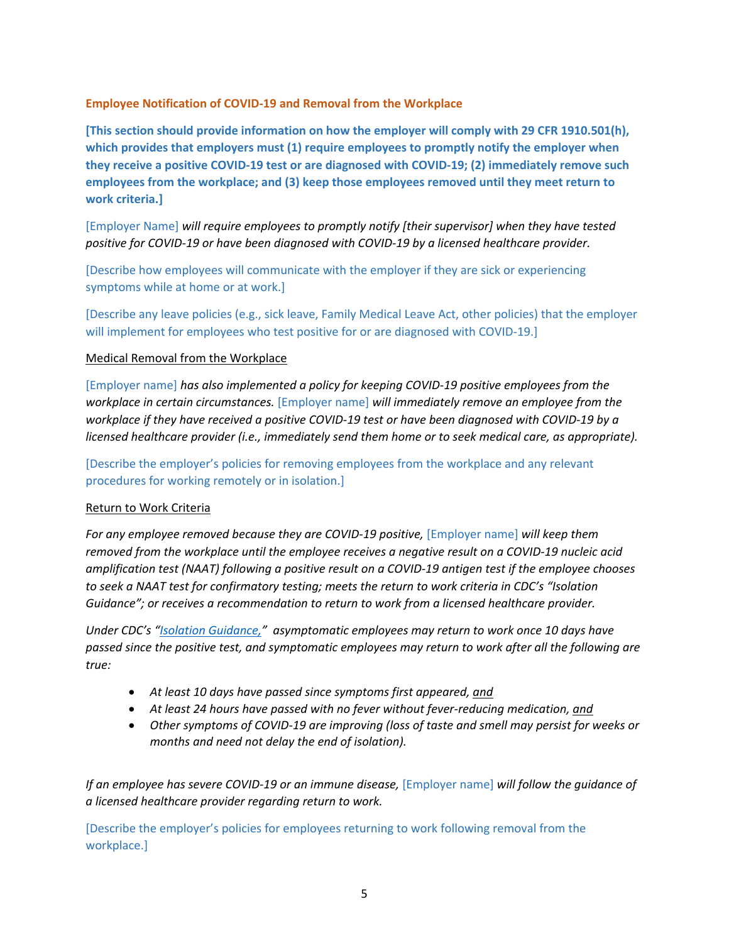## **Employee Notification of COVID-19 and Removal from the Workplace**

**[This section should provide information on how the employer will comply with 29 CFR 1910.501(h), which provides that employers must (1) require employees to promptly notify the employer when they receive a positive COVID-19 test or are diagnosed with COVID-19; (2) immediately remove such employees from the workplace; and (3) keep those employees removed until they meet return to work criteria.]** 

[Employer Name] *will require employees to promptly notify [their supervisor] when they have tested positive for COVID-19 or have been diagnosed with COVID-19 by a licensed healthcare provider.*

[Describe how employees will communicate with the employer if they are sick or experiencing symptoms while at home or at work.]

[Describe any leave policies (e.g., sick leave, Family Medical Leave Act, other policies) that the employer will implement for employees who test positive for or are diagnosed with COVID-19.]

#### Medical Removal from the Workplace

[Employer name] *has also implemented a policy for keeping COVID-19 positive employees from the workplace in certain circumstances.* [Employer name] *will immediately remove an employee from the workplace if they have received a positive COVID-19 test or have been diagnosed with COVID-19 by a licensed healthcare provider (i.e., immediately send them home or to seek medical care, as appropriate).*

[Describe the employer's policies for removing employees from the workplace and any relevant procedures for working remotely or in isolation.]

### Return to Work Criteria

*For any employee removed because they are COVID-19 positive,* [Employer name] *will keep them removed from the workplace until the employee receives a negative result on a COVID-19 nucleic acid amplification test (NAAT) following a positive result on a COVID-19 antigen test if the employee chooses to seek a NAAT test for confirmatory testing; meets the return to work criteria in CDC's "Isolation Guidance"; or receives a recommendation to return to work from a licensed healthcare provider.* 

*Under CDC's ["Isolation Guidance](https://www.osha.gov/sites/default/files/CDC)," asymptomatic employees may return to work once 10 days have passed since the positive test, and symptomatic employees may return to work after all the following are true:*

- *At least 10 days have passed since symptoms first appeared, and*
- *At least 24 hours have passed with no fever without fever-reducing medication, and*
- *Other symptoms of COVID-19 are improving (loss of taste and smell may persist for weeks or months and need not delay the end of isolation).*

*If an employee has severe COVID-19 or an immune disease,* [Employer name] *will follow the guidance of a licensed healthcare provider regarding return to work.*

[Describe the employer's policies for employees returning to work following removal from the workplace.]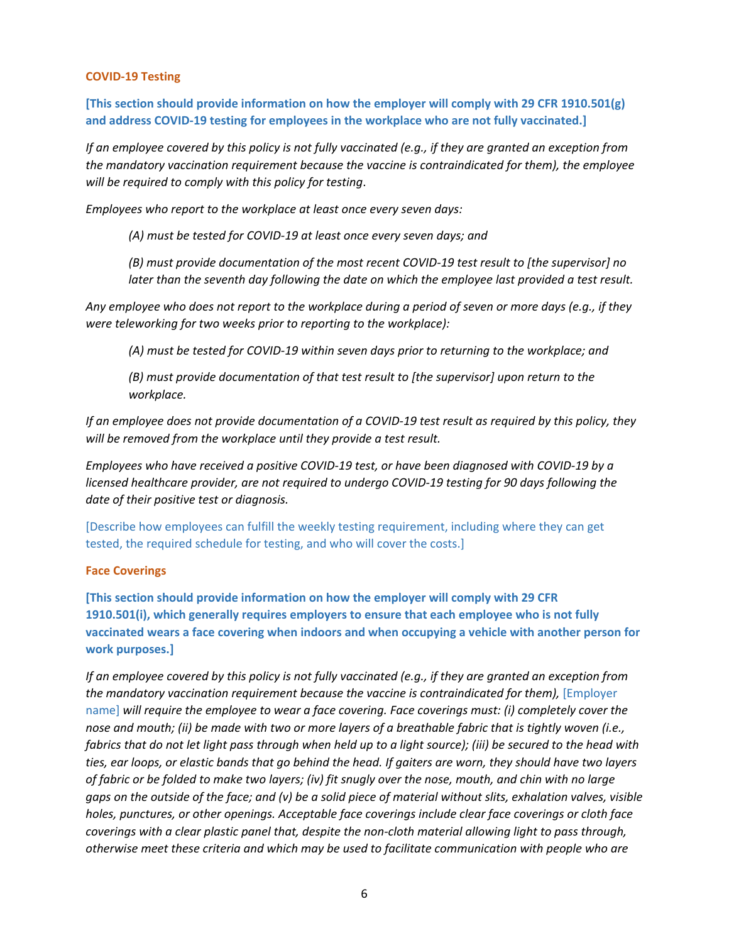#### **COVID-19 Testing**

**[This section should provide information on how the employer will comply with 29 CFR 1910.501(g) and address COVID-19 testing for employees in the workplace who are not fully vaccinated.]**

*If an employee covered by this policy is not fully vaccinated (e.g., if they are granted an exception from the mandatory vaccination requirement because the vaccine is contraindicated for them), the employee will be required to comply with this policy for testing*.

*Employees who report to the workplace at least once every seven days:* 

*(A) must be tested for COVID-19 at least once every seven days; and*

*(B) must provide documentation of the most recent COVID-19 test result to [the supervisor] no later than the seventh day following the date on which the employee last provided a test result.*

*Any employee who does not report to the workplace during a period of seven or more days (e.g., if they were teleworking for two weeks prior to reporting to the workplace):* 

*(A) must be tested for COVID-19 within seven days prior to returning to the workplace; and*

*(B) must provide documentation of that test result to [the supervisor] upon return to the workplace.*

*If an employee does not provide documentation of a COVID-19 test result as required by this policy, they will be removed from the workplace until they provide a test result.* 

*Employees who have received a positive COVID-19 test, or have been diagnosed with COVID-19 by a licensed healthcare provider, are not required to undergo COVID-19 testing for 90 days following the date of their positive test or diagnosis.*

[Describe how employees can fulfill the weekly testing requirement, including where they can get tested, the required schedule for testing, and who will cover the costs.]

#### **Face Coverings**

**[This section should provide information on how the employer will comply with 29 CFR 1910.501(i), which generally requires employers to ensure that each employee who is not fully vaccinated wears a face covering when indoors and when occupying a vehicle with another person for work purposes.]**

*If an employee covered by this policy is not fully vaccinated (e.g., if they are granted an exception from the mandatory vaccination requirement because the vaccine is contraindicated for them),* [*Employer* name] *will require the employee to wear a face covering. Face coverings must: (i) completely cover the nose and mouth; (ii) be made with two or more layers of a breathable fabric that is tightly woven (i.e.,*  fabrics that do not let light pass through when held up to a light source); (iii) be secured to the head with *ties, ear loops, or elastic bands that go behind the head. If gaiters are worn, they should have two layers of fabric or be folded to make two layers; (iv) fit snugly over the nose, mouth, and chin with no large gaps on the outside of the face; and (v) be a solid piece of material without slits, exhalation valves, visible holes, punctures, or other openings. Acceptable face coverings include clear face coverings or cloth face coverings with a clear plastic panel that, despite the non-cloth material allowing light to pass through, otherwise meet these criteria and which may be used to facilitate communication with people who are*